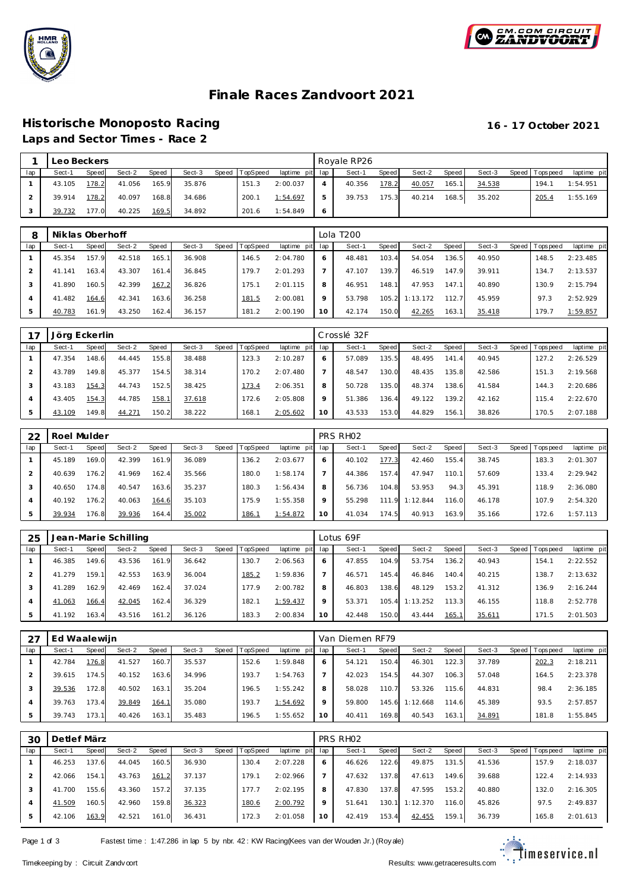



# **Finale Races Zandvoort 2021**

## **Historische Monoposto Racing 16 - 17 October 2021 Laps and Sector Times - Race 2**

|     | Leo Beckers |       |        |       |        |                |                 |   | Royale RP26 |       |        |       |        |                 |             |
|-----|-------------|-------|--------|-------|--------|----------------|-----------------|---|-------------|-------|--------|-------|--------|-----------------|-------------|
| lap | Sect-1      | Speed | Sect-2 | Speed | Sect-3 | Speed TopSpeed | laptime pit lap |   | Sect-1      | Speed | Sect-2 | Speed | Sect-3 | Speed Tops peed | laptime pit |
|     | 43.105      | 178.2 | 41.056 | 165.9 | 35.876 | 151.3          | 2:00.037        | 4 | 40.356      | 178.2 | 40.057 | 165.1 | 34.538 | 194.7           | 1:54.951    |
|     | 39.914      | 178.2 | 40.097 | 168.8 | 34.686 | 200.1          | 1:54.697        | ь | 39.753      | 175.3 | 40.214 | 168.5 | 35.202 | 205.4           | 1:55.169    |
|     | 39.732      | 177.0 | 40.225 | 169.5 | 34.892 | 201.6          | 1:54.849        |   |             |       |        |       |        |                 |             |

| 8              | Niklas Oberhoff |       |        |       |        |       |          |             |     | Lola T200 |       |          |       |        |                   |             |
|----------------|-----------------|-------|--------|-------|--------|-------|----------|-------------|-----|-----------|-------|----------|-------|--------|-------------------|-------------|
| lap            | Sect-1          | Speed | Sect-2 | Speed | Sect-3 | Speed | TopSpeed | laptime pit | lap | Sect-1    | Speed | Sect-2   | Speed | Sect-3 | Speed   Tops peed | laptime pit |
|                | 45.354          | 157.9 | 42.518 | 165.1 | 36.908 |       | 146.5    | 2:04.780    | O   | 48.481    | 103.4 | 54.054   | 136.5 | 40.950 | 148.5             | 2:23.485    |
|                | 41.141          | 163.4 | 43.307 | 161.4 | 36.845 |       | 179.7    | 2:01.293    |     | 47.107    | 139.7 | 46.519   | 147.9 | 39.911 | 134.7             | 2:13.537    |
| 3              | 41.890          | 160.5 | 42.399 | 167.2 | 36.826 |       | 175.1    | 2:01.115    | 8   | 46.951    | 148.1 | 47.953   | 147.1 | 40.890 | 130.9             | 2:15.794    |
| $\overline{A}$ | 41.482          | 164.6 | 42.341 | 163.6 | 36.258 |       | 181.5    | 2:00.081    | 9   | 53.798    | 105.2 | 1:13.172 | 112.7 | 45.959 | 97.3              | 2:52.929    |
|                | 40.783          | 161.9 | 43.250 | 162.4 | 36.157 |       | 181.2    | 2:00.190    | 10  | 42.174    | 150.0 | 42.265   | 163.1 | 35.418 | 179.7             | 1:59.857    |

|     | Jörg Eckerlin |       |        |       |        |       |                 |                 |         | Crosslé 32F |       |        |       |        |                |             |
|-----|---------------|-------|--------|-------|--------|-------|-----------------|-----------------|---------|-------------|-------|--------|-------|--------|----------------|-------------|
| lap | Sect-1        | Speed | Sect-2 | Speed | Sect-3 | Speed | <b>TopSpeed</b> | laptime pit lap |         | Sect-1      | Speed | Sect-2 | Speed | Sect-3 | Speed Topspeed | laptime pit |
|     | 47.354        | 148.6 | 44.445 | 155.8 | 38.488 |       | 123.3           | 2:10.287        | 6       | 57.089      | 135.5 | 48.495 | 141.4 | 40.945 | 127.2          | 2:26.529    |
|     | 43.789        | 149.8 | 45.377 | 154.5 | 38.314 |       | 170.2           | 2:07.480        |         | 48.547      | 130.0 | 48.435 | 135.8 | 42.586 | 151.3          | 2:19.568    |
| 3   | 43.183        | 154.3 | 44.743 | 152.5 | 38.425 |       | 173.4           | 2:06.351        | 8       | 50.728      | 135.0 | 48.374 | 138.6 | 41.584 | 144.3          | 2:20.686    |
|     | 43.405        | 154.3 | 44.785 | 158.1 | 37.618 |       | 172.6           | 2:05.808        | $\circ$ | 51.386      | 136.4 | 49.122 | 139.2 | 42.162 | 115.4          | 2:22.670    |
|     | 43.109        | 149.8 | 44.271 | 150.2 | 38.222 |       | 168.1           | 2:05.602        | 10      | 43.533      | 153.0 | 44.829 | 156.1 | 38.826 | 170.5          | 2:07.188    |

| 22  | Roel Mulder |       |        |       |        |       |          |             |              | PRS RH <sub>02</sub> |             |          |       |        |       |            |             |
|-----|-------------|-------|--------|-------|--------|-------|----------|-------------|--------------|----------------------|-------------|----------|-------|--------|-------|------------|-------------|
| lap | Sect-1      | Speed | Sect-2 | Speed | Sect-3 | Speed | TopSpeed | laptime pit | lap          | Sect-1               | Speed       | Sect-2   | Speed | Sect-3 | Speed | Tops pee d | laptime pit |
|     | 45.189      | 169.0 | 42.399 | 161.9 | 36.089 |       | 136.2    | 2:03.677    | <sup>6</sup> | 40.102               | 177.3       | 42.460   | 155.4 | 38.745 |       | 183.3      | 2:01.307    |
|     | 40.639      | 176.2 | 41.969 | 162.4 | 35.566 |       | 180.0    | 1:58.174    |              | 44.386               | 157.4       | 47.947   | 110.1 | 57.609 |       | 133.4      | 2:29.942    |
|     | 40.650      | 174.8 | 40.547 | 163.6 | 35.237 |       | 180.3    | 1:56.434    | 8            | 56.736               | 104.8       | 53.953   | 94.3  | 45.391 |       | 118.9      | 2:36.080    |
|     | 40.192      | 176.2 | 40.063 | 164.6 | 35.103 |       | 175.9    | 1:55.358    | $\circ$      | 55.298               | 111<br>- 91 | 1:12.844 | 116.0 | 46.178 |       | 107.9      | 2:54.320    |
|     | 39.934      | 176.8 | 39.936 | 164.4 | 35.002 |       | 186.1    | 1:54.872    | 10           | 41.034               | 174.5       | 40.913   | 163.9 | 35.166 |       | 172.6      | 1:57.113    |

| 25  |        |       | Jean-Marie Schilling |       |        |       |                 |             |         | Lotus 69F |       |          |       |        |                 |             |
|-----|--------|-------|----------------------|-------|--------|-------|-----------------|-------------|---------|-----------|-------|----------|-------|--------|-----------------|-------------|
| lap | Sect-1 | Speed | Sect-2               | Speed | Sect-3 | Speed | <b>TopSpeed</b> | laptime pit | lap     | Sect-1    | Speed | Sect-2   | Speed | Sect-3 | Speed Tops peed | laptime pit |
|     | 46.385 | 149.6 | 43.536               | 161.9 | 36.642 |       | 130.7           | 2:06.563    | 6       | 47.855    | 104.9 | 53.754   | 136.2 | 40.943 | 154.1           | 2:22.552    |
|     | 41.279 | 159.1 | 42.553               | 163.9 | 36.004 |       | 185.2           | 1:59.836    |         | 46.571    | 145.4 | 46.846   | 140.4 | 40.215 | 138.7           | 2:13.632    |
|     | 41.289 | 162.9 | 42.469               | 162.4 | 37.024 |       | 177.9           | 2:00.782    | 8       | 46.803    | 138.6 | 48.129   | 153.2 | 41.312 | 136.9           | 2:16.244    |
|     | 41.063 | 166.4 | 42.045               | 162.4 | 36.329 |       | 182.7           | 1:59.437    | $\circ$ | 53.371    | 105.4 | 1:13.252 | 113.3 | 46.155 | 118.8           | 2:52.778    |
|     | 41.192 | 163.4 | 43.516               | 161.2 | 36.126 |       | 183.3           | 2:00.834    | 10      | 42.448    | 150.0 | 43.444   | 165.1 | 35.611 | 171.5           | 2:01.503    |

|                | Ed Waalewijn |       |        |       |        |       |          |                 |         | Van Diemen RF79 |              |          |       |        |                 |             |
|----------------|--------------|-------|--------|-------|--------|-------|----------|-----------------|---------|-----------------|--------------|----------|-------|--------|-----------------|-------------|
| lap            | Sect-1       | Speed | Sect-2 | Speed | Sect-3 | Speed | TopSpeed | laptime pit lap |         | Sect-1          | <b>Speed</b> | Sect-2   | Speed | Sect-3 | Speed Tops peed | laptime pit |
|                | 42.784       | 176.8 | 41.527 | 160.7 | 35.537 |       | 152.6    | 1:59.848        | 6       | 54.121          | 150.4        | 46.301   | 122.3 | 37.789 | 202.3           | 2:18.211    |
|                | 39.615       | 174.5 | 40.152 | 163.6 | 34.996 |       | 193.7    | 1:54.763        |         | 42.023          | 154.51       | 44.307   | 106.3 | 57.048 | 164.5           | 2:23.378    |
| 3              | 39.536       | 172.8 | 40.502 | 163.1 | 35.204 |       | 196.5    | 1:55.242        | 8       | 58.028          | 110.7        | 53.326   | 115.6 | 44.831 | 98.4            | 2:36.185    |
| $\overline{A}$ | 39.763       | 173.4 | 39.849 | 164.1 | 35.080 |       | 193.7    | 1:54.692        | $\circ$ | 59.800          | 145.6        | 1:12.668 | 114.6 | 45.389 | 93.5            | 2:57.857    |
| 5              | 39.743       | 173.1 | 40.426 | 163.1 | 35.483 |       | 196.5    | 1:55.652        | 10      | 40.411          | 169.8        | 40.543   | 163.1 | 34.891 | 181.8           | 1:55.845    |

| 3С  | Detlef März |       |        |       |        |       |          |                 |             | PRS RHO2 |       |          |       |        |                 |             |
|-----|-------------|-------|--------|-------|--------|-------|----------|-----------------|-------------|----------|-------|----------|-------|--------|-----------------|-------------|
| lap | Sect-1      | Speed | Sect-2 | Speed | Sect-3 | Speed | TopSpeed | laptime pit lap |             | Sect-1   | Speed | Sect-2   | Speed | Sect-3 | Speed Tops peed | laptime pit |
|     | 46.253      | 137.6 | 44.045 | 160.5 | 36.930 |       | 130.4    | 2:07.228        | 6           | 46.626   | 122.6 | 49.875   | 131.5 | 41.536 | 157.9           | 2:18.037    |
|     | 42.066      | 154.1 | 43.763 | 161.2 | 37.137 |       | 179.1    | 2:02.966        |             | 47.632   | 137.8 | 47.613   | 149.6 | 39.688 | 122.4           | 2:14.933    |
|     | 41.700      | 155.6 | 43.360 | 157.2 | 37.135 |       | 177.7    | 2:02.195        | 8           | 47.830   | 137.8 | 47.595   | 153.2 | 40.880 | 132.0           | 2:16.305    |
| 4   | 41.509      | 160.5 | 42.960 | 159.8 | 36.323 |       | 180.6    | 2:00.792        | $\mathsf Q$ | 51.641   | 130.1 | 1:12.370 | 116.0 | 45.826 | 97.5            | 2:49.837    |
| 5   | 42.106      | 163.9 | 42.521 | 161.0 | 36.431 |       | 172.3    | 2:01.058        | 10          | 42.419   | 153.4 | 42.455   | 159.1 | 36.739 | 165.8           | 2:01.613    |

Page 1 of 3 Fastest time : 1:47.286 in lap 5 by nbr. 42 : KW Racing(Kees van der Wouden Jr.) (Roy ale)

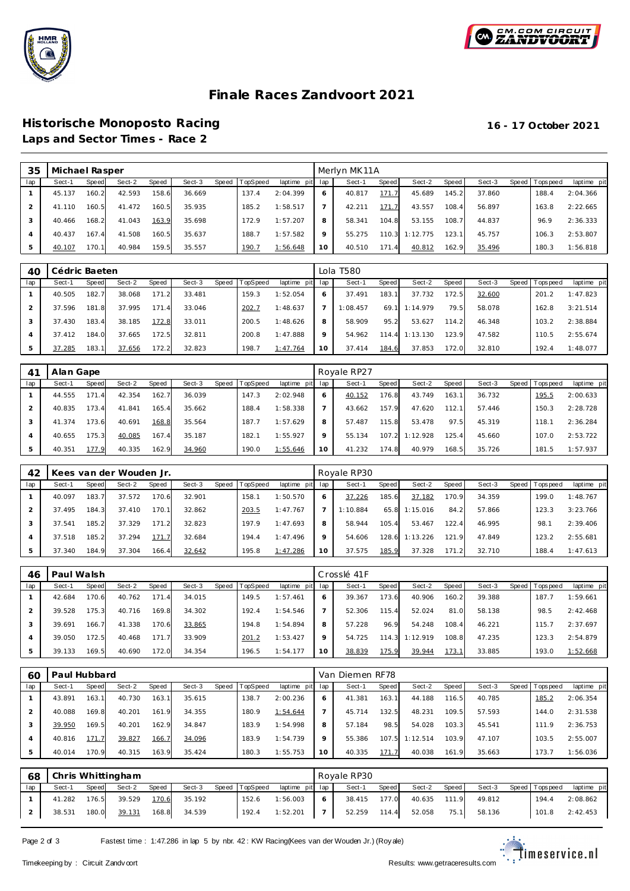



# **Finale Races Zandvoort 2021**

### **Historische Monoposto Racing 16 - 17 October 2021 Laps and Sector Times - Race 2**

 **Michae l Rasper** Merlyn MK11A lap Sect-1 Speed Sect-2 Speed Sect-3 Speed T opSpeed laptime pit lap Sect-1 Speed Sect-2 Speed Sect-3 Speed T opspeed laptime pit 45.137 160.2 42.593 158.6 36.669 137.4 2:04.399 41.110 160.5 41.472 160.5 35.935 185.2 1:58.517 40.466 168.2 41.043 163.9 35.698 172.9 1:57.207 4 40.437 167.4 41.508 160.5 35.637 188.7 1:57.582 5 40.107 170.1 40.984 159.5 35.557 190.7 1:56.648 40.817 171.7 45.689 145.2 37.860 188.4 2:04.366 42.211 171.7 43.557 108.4 56.897 163.8 2:22.665 58.341 104.8 53.155 108.7 44.837 96.9 2:36.333 55.275 110.3 1:12.775 123.1 45.757 106.3 2:53.807 40.510 171.4 40.812 162.9 35.496 180.3 1:56.818

| 40  | Cédric Baeten |       |        |       |        |       |          |                 |             | Lola T580 |       |          |       |        |                |             |
|-----|---------------|-------|--------|-------|--------|-------|----------|-----------------|-------------|-----------|-------|----------|-------|--------|----------------|-------------|
| lap | Sect-1        | Speed | Sect-2 | Speed | Sect-3 | Speed | TopSpeed | laptime pit lap |             | Sect-1    | Speed | Sect-2   | Speed | Sect-3 | Speed Topspeed | laptime pit |
|     | 40.505        | 182.7 | 38.068 | 171.2 | 33.481 |       | 159.3    | 1:52.054        | 6           | 37.491    | 183.1 | 37.732   | 172.5 | 32.600 | 201.2          | 1:47.823    |
|     | 37.596        | 181.8 | 37.995 | 171.4 | 33.046 |       | 202.7    | 1:48.637        |             | 1:08.457  | 69.1  | 1:14.979 | 79.5  | 58.078 | 162.8          | 3:21.514    |
| 3   | 37.430        | 183.4 | 38.185 | 172.8 | 33.011 |       | 200.5    | 1:48.626        | 8           | 58.909    | 95.2  | 53.627   | 114.2 | 46.348 | 103.2          | 2:38.884    |
| 4   | 37.412        | 184.0 | 37.665 | 172.5 | 32.811 |       | 200.8    | 1:47.888        | $\mathsf Q$ | 54.962    | 114.4 | 1:13.130 | 123.9 | 47.582 | 110.5          | 2:55.674    |
| 5   | 37.285        | 183.1 | 37.656 | 172.2 | 32.823 |       | 198.7    | 1:47.764        | 10          | 37.414    | 184.6 | 37.853   | 172.0 | 32.810 | 192.4          | 1:48.077    |

| $4^{\prime}$ | Alan Gape |                  |        |       |        |                  |             |     | Royale RP27 |       |          |       |        |       |            |             |
|--------------|-----------|------------------|--------|-------|--------|------------------|-------------|-----|-------------|-------|----------|-------|--------|-------|------------|-------------|
| lap          | Sect-1    | <b>Speed</b>     | Sect-2 | Speed | Sect-3 | Speed   TopSpeed | laptime pit | lap | Sect-1      | Speed | Sect-2   | Speed | Sect-3 | Speed | Tops pee d | laptime pit |
|              | 44.555    | 171.<br>$\Delta$ | 42.354 | 162.7 | 36.039 | 147.3            | 2:02.948    | 6   | 40.152      | 176.8 | 43.749   | 163.1 | 36.732 |       | 195.5      | 2:00.633    |
|              | 40.835    | 173.4            | 41.841 | 165.4 | 35.662 | 188.4            | 1:58.338    |     | 43.662      | 157.9 | 47.620   | 112.1 | 57.446 |       | 150.3      | 2:28.728    |
|              | 41.374    | 173.6            | 40.691 | 168.8 | 35.564 | 187.7            | 1:57.629    | 8   | 57.487      | 115.8 | 53.478   | 97.5  | 45.319 |       | 118.1      | 2:36.284    |
|              | 40.655    | 175.3            | 40.085 | 167.4 | 35.187 | 182.7            | 1:55.927    | 9   | 55.134      | 107.2 | 1:12.928 | 125.4 | 45.660 |       | 107.0      | 2:53.722    |
|              | 40.351    | 177.9            | 40.335 | 162.9 | 34.960 | 190.0            | 1:55.646    | 10  | 41.232      | 174.8 | 40.979   | 168.5 | 35.726 |       | 181.5      | 1:57.937    |

| 42  |        |       | Kees van der Wouden Jr. |       |        |                |             |         | Royale RP30 |       |          |       |        |       |           |             |
|-----|--------|-------|-------------------------|-------|--------|----------------|-------------|---------|-------------|-------|----------|-------|--------|-------|-----------|-------------|
| lap | Sect-1 | Speed | Sect-2                  | Speed | Sect-3 | Speed TopSpeed | laptime pit | lap     | Sect-1      | Speed | Sect-2   | Speed | Sect-3 | Speed | Tops peed | laptime pit |
|     | 40.097 | 183.7 | 37.572                  | 170.6 | 32.901 | 158.           | 1:50.570    | 6       | 37.226      | 185.6 | 37.182   | 170.9 | 34.359 |       | 199.0     | 1:48.767    |
|     | 37.495 | 184.3 | 37.410                  | 170.1 | 32.862 | 203.5          | 1:47.767    |         | 1:10.884    | 65.8  | 1:15.016 | 84.2  | 57.866 |       | 123.3     | 3:23.766    |
|     | 37.541 | 185.2 | 37.329                  | 171.2 | 32.823 | 197.9          | 1:47.693    | 8       | 58.944      | 105.4 | 53.467   | 122.4 | 46.995 |       | 98.       | 2:39.406    |
|     | 37.518 | 185.2 | 37.294                  | 171.7 | 32.684 | 194.4          | 1:47.496    | $\circ$ | 54.606      | 128.6 | 1:13.226 | 121.9 | 47.849 |       | 123.2     | 2:55.681    |
|     | 37.340 | 184.9 | 37.304                  | 166.4 | 32.642 | 195.8          | 1:47.286    | 10      | 37.575      | 185.9 | 37.328   | 171.2 | 32.710 |       | 188.4     | 1:47.613    |

| 46  | Paul Walsh |       |        |       |        |       |          |             |     | Crosslé 41F |           |          |       |        |                   |             |
|-----|------------|-------|--------|-------|--------|-------|----------|-------------|-----|-------------|-----------|----------|-------|--------|-------------------|-------------|
| lap | Sect-1     | Speed | Sect-2 | Speed | Sect-3 | Speed | TopSpeed | laptime pit | lap | Sect-1      | Speed     | Sect-2   | Speed | Sect-3 | Speed   Tops peed | laptime pit |
|     | 42.684     | 170.6 | 40.762 | 171.4 | 34.015 |       | 149.5    | 1:57.461    | 6   | 39.367      | 173.6     | 40.906   | 160.2 | 39.388 | 187.7             | 1:59.661    |
| 2   | 39.528     | 175.3 | 40.716 | 169.8 | 34.302 |       | 192.4    | 1:54.546    |     | 52.306      | 115.4     | 52.024   | 81.0  | 58.138 | 98.5              | 2:42.468    |
| 3   | 39.691     | 166.7 | 41.338 | 170.6 | 33.865 |       | 194.8    | 1:54.894    | 8   | 57.228      | 96.9      | 54.248   | 108.4 | 46.221 | 115.7             | 2:37.697    |
| 4   | 39.050     | 172.5 | 40.468 | 171.7 | 33.909 |       | 201.2    | 1:53.427    | 9   | 54.725      | 114<br>31 | 1:12.919 | 108.8 | 47.235 | 123.3             | 2:54.879    |
| 5   | 39.133     | 169.5 | 40.690 | 172.0 | 34.354 |       | 196.5    | 1:54.177    | 10  | 38.839      | 175.9     | 39.944   | 173.1 | 33.885 | 193.0             | 1:52.668    |

| 6C  | Paul Hubbard |              |        |       |        |       |                 |             |              | Van Diemen RF78 |       |          |       |        |       |           |             |
|-----|--------------|--------------|--------|-------|--------|-------|-----------------|-------------|--------------|-----------------|-------|----------|-------|--------|-------|-----------|-------------|
| lap | Sect-1       | <b>Speed</b> | Sect-2 | Speed | Sect-3 | Speed | <b>TopSpeed</b> | laptime pit | lap          | Sect-1          | Speed | Sect-2   | Speed | Sect-3 | Speed | Tops peed | laptime pit |
|     | 43.891       | 163.1        | 40.730 | 163.1 | 35.615 |       | 138.7           | 2:00.236    | <sup>6</sup> | 41.381          | 163.1 | 44.188   | 116.5 | 40.785 |       | 185.2     | 2:06.354    |
|     | 40.088       | 169.8        | 40.201 | 161.9 | 34.355 |       | 180.9           | 1:54.644    |              | 45.714          | 132.5 | 48.231   | 109.5 | 57.593 |       | 144.0     | 2:31.538    |
|     | 39.950       | 169.5        | 40.201 | 162.9 | 34.847 |       | 183.9           | 1:54.998    | 8            | 57.184          | 98.5  | 54.028   | 103.3 | 45.541 |       | 111.9     | 2:36.753    |
| 4   | 40.816       | 171.7        | 39.827 | 166.7 | 34.096 |       | 183.9           | 1:54.739    | 9            | 55.386          | 107.5 | 1:12.514 | 103.9 | 47.107 |       | 103.5     | 2:55.007    |
| 5   | 40.014       | 170.9        | 40.315 | 163.9 | 35.424 |       | 180.3           | 1:55.753    | 10           | 40.335          | 171.7 | 40.038   | 161.9 | 35.663 |       | 173.7     | 1:56.036    |

| 68  |        |       | Chris Whittingham |       |        |                |                 | Royale RP30    |        |       |        |       |        |  |                |             |  |  |
|-----|--------|-------|-------------------|-------|--------|----------------|-----------------|----------------|--------|-------|--------|-------|--------|--|----------------|-------------|--|--|
| lap | Sect-1 | Speed | Sect-2            | Speed | Sect-3 | Speed TopSpeed | laptime pit lap |                | Sect-1 | Speed | Sect-2 | Speed | Sect-3 |  | Speed Topspeed | laptime pit |  |  |
|     | 41.282 | 176.5 | 39.529            | 170.6 | 35.192 | 152.6          | 1:56.003        | 6              | 38.415 | 177.0 | 40.635 | 111.9 | 49.812 |  | 194.4          | 2:08.862    |  |  |
|     | 38.531 | 180.0 | 39.131            | 168.8 | 34.539 | 192.4          | 1:52.201        | $\overline{7}$ | 52.259 | 114.4 | 52.058 | 75.1  | 58.136 |  | 101.8          | 2:42.453    |  |  |

Page 2 of 3 Fastest time : 1:47.286 in lap 5 by nbr. 42 : KW Racing(Kees van der Wouden Jr.) (Roy ale)